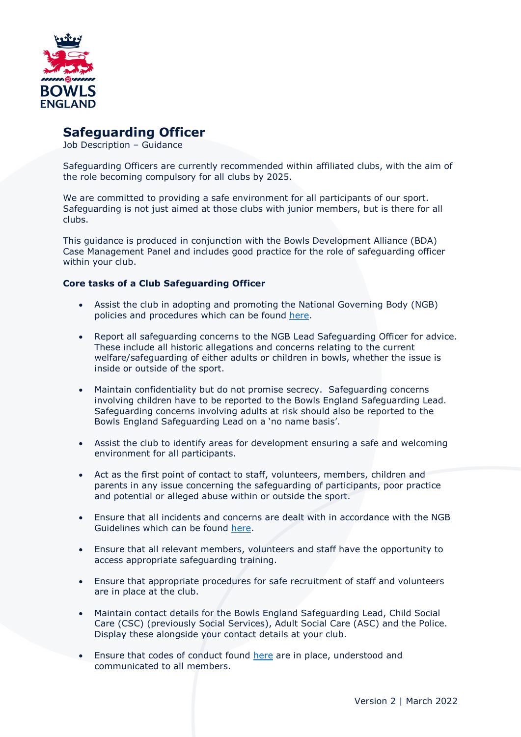

# **Safeguarding Officer**

Job Description – Guidance

Safeguarding Officers are currently recommended within affiliated clubs, with the aim of the role becoming compulsory for all clubs by 2025.

We are committed to providing a safe environment for all participants of our sport. Safeguarding is not just aimed at those clubs with junior members, but is there for all clubs.

This guidance is produced in conjunction with the Bowls Development Alliance (BDA) Case Management Panel and includes good practice for the role of safeguarding officer within your club.

### **Core tasks of a Club Safeguarding Officer**

- Assist the club in adopting and promoting the National Governing Body (NGB) policies and procedures which can be found [here.](https://www.bowlsengland.com/safeguarding/)
- Report all safeguarding concerns to the NGB Lead Safeguarding Officer for advice. These include all historic allegations and concerns relating to the current welfare/safeguarding of either adults or children in bowls, whether the issue is inside or outside of the sport.
- Maintain confidentiality but do not promise secrecy. Safeguarding concerns involving children have to be reported to the Bowls England Safeguarding Lead. Safeguarding concerns involving adults at risk should also be reported to the Bowls England Safeguarding Lead on a 'no name basis'.
- Assist the club to identify areas for development ensuring a safe and welcoming environment for all participants.
- Act as the first point of contact to staff, volunteers, members, children and parents in any issue concerning the safeguarding of participants, poor practice and potential or alleged abuse within or outside the sport.
- Ensure that all incidents and concerns are dealt with in accordance with the NGB Guidelines which can be found [here.](https://www.bowlsengland.com/safeguarding/)
- Ensure that all relevant members, volunteers and staff have the opportunity to access appropriate safeguarding training.
- Ensure that appropriate procedures for safe recruitment of staff and volunteers are in place at the club.
- Maintain contact details for the Bowls England Safeguarding Lead, Child Social Care (CSC) (previously Social Services), Adult Social Care (ASC) and the Police. Display these alongside your contact details at your club.
- Ensure that codes of conduct found [here](https://www.bowlsengland.com/safeguarding/) are in place, understood and communicated to all members.